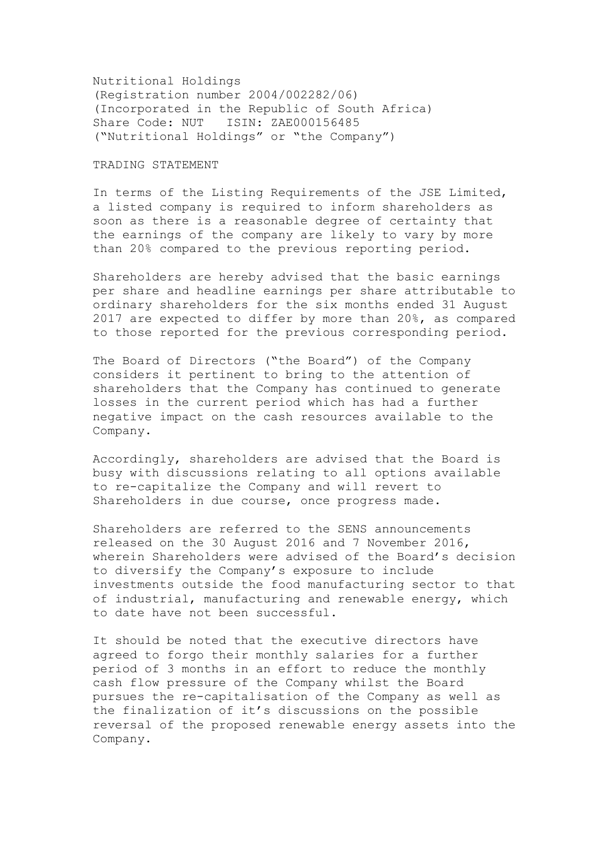Nutritional Holdings (Registration number 2004/002282/06) (Incorporated in the Republic of South Africa) Share Code: NUT ISIN: ZAE000156485 ("Nutritional Holdings" or "the Company")

## TRADING STATEMENT

In terms of the Listing Requirements of the JSE Limited, a listed company is required to inform shareholders as soon as there is a reasonable degree of certainty that the earnings of the company are likely to vary by more than 20% compared to the previous reporting period.

Shareholders are hereby advised that the basic earnings per share and headline earnings per share attributable to ordinary shareholders for the six months ended 31 August 2017 are expected to differ by more than 20%, as compared to those reported for the previous corresponding period.

The Board of Directors ("the Board") of the Company considers it pertinent to bring to the attention of shareholders that the Company has continued to generate losses in the current period which has had a further negative impact on the cash resources available to the Company.

Accordingly, shareholders are advised that the Board is busy with discussions relating to all options available to re-capitalize the Company and will revert to Shareholders in due course, once progress made.

Shareholders are referred to the SENS announcements released on the 30 August 2016 and 7 November 2016, wherein Shareholders were advised of the Board's decision to diversify the Company's exposure to include investments outside the food manufacturing sector to that of industrial, manufacturing and renewable energy, which to date have not been successful.

It should be noted that the executive directors have agreed to forgo their monthly salaries for a further period of 3 months in an effort to reduce the monthly cash flow pressure of the Company whilst the Board pursues the re-capitalisation of the Company as well as the finalization of it's discussions on the possible reversal of the proposed renewable energy assets into the Company.